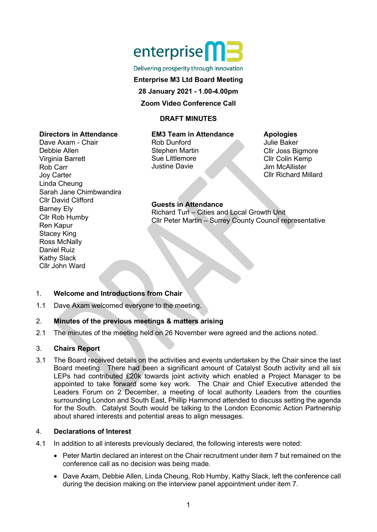# enterprise<sup>n</sup>

Delivering prosperity through innovation

#### **Enterprise M3 Ltd Board Meeting**

**28 January 2021 - 1.00-4.00pm**

## **Zoom Video Conference Call**

## **DRAFT MINUTES**

#### **Directors in Attendance**

Dave Axam - Chair Debbie Allen Virginia Barrett Rob Carr Joy Carter Linda Cheung Sarah Jane Chimbwandira Cllr David Clifford Barney Ely Cllr Rob Humby Ren Kapur Stacey King Ross McNally Daniel Ruiz Kathy Slack Cllr John Ward

## **EM3 Team in Attendance**

Rob Dunford Stephen Martin Sue Littlemore Justine Davie

## **Apologies**

Julie Baker Cllr Joss Bigmore Cllr Colin Kemp Jim McAllister Cllr Richard Millard

# **Guests in Attendance**

Richard Turl – Cities and Local Growth Unit Cllr Peter Martin – Surrey County Council representative

# 1. **Welcome and Introductions from Chair**

1.1 Dave Axam welcomed everyone to the meeting.

# 2. **Minutes of the previous meetings & matters arising**

2.1 The minutes of the meeting held on 26 November were agreed and the actions noted.

# 3. **Chairs Report**

3.1 The Board received details on the activities and events undertaken by the Chair since the last Board meeting. There had been a significant amount of Catalyst South activity and all six LEPs had contributed £20k towards joint activity which enabled a Project Manager to be appointed to take forward some key work. The Chair and Chief Executive attended the Leaders Forum on 2 December, a meeting of local authority Leaders from the counties surrounding London and South East, Phillip Hammond attended to discuss setting the agenda for the South. Catalyst South would be talking to the London Economic Action Partnership about shared interests and potential areas to align messages.

## 4. **Declarations of Interest**

- 4.1 In addition to all interests previously declared, the following interests were noted:
	- Peter Martin declared an interest on the Chair recruitment under item 7 but remained on the conference call as no decision was being made.
	- Dave Axam, Debbie Allen, Linda Cheung, Rob Humby, Kathy Slack, left the conference call during the decision making on the interview panel appointment under item 7.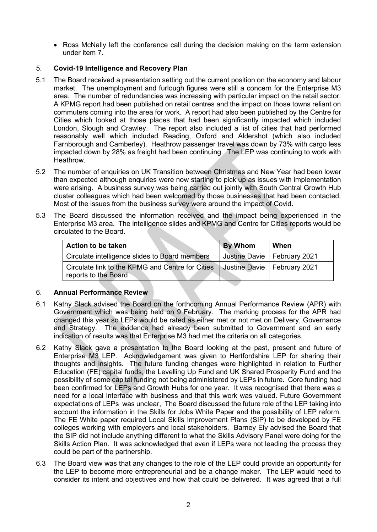• Ross McNally left the conference call during the decision making on the term extension under item 7.

## 5. **Covid-19 Intelligence and Recovery Plan**

- 5.1 The Board received a presentation setting out the current position on the economy and labour market. The unemployment and furlough figures were still a concern for the Enterprise M3 area. The number of redundancies was increasing with particular impact on the retail sector. A KPMG report had been published on retail centres and the impact on those towns reliant on commuters coming into the area for work. A report had also been published by the Centre for Cities which looked at those places that had been significantly impacted which included London, Slough and Crawley. The report also included a list of cities that had performed reasonably well which included Reading, Oxford and Aldershot (which also included Farnborough and Camberley). Heathrow passenger travel was down by 73% with cargo less impacted down by 28% as freight had been continuing. The LEP was continuing to work with Heathrow.
- 5.2 The number of enquiries on UK Transition between Christmas and New Year had been lower than expected although enquiries were now starting to pick up as issues with implementation were arising. A business survey was being carried out jointly with South Central Growth Hub cluster colleagues which had been welcomed by those businesses that had been contacted. Most of the issues from the business survey were around the impact of Covid.
- 5.3 The Board discussed the information received and the impact being experienced in the Enterprise M3 area. The intelligence slides and KPMG and Centre for Cities reports would be circulated to the Board.

| Action to be taken                                                       | By Whom                       | <b>When</b> |
|--------------------------------------------------------------------------|-------------------------------|-------------|
| Circulate intelligence slides to Board members                           | Justine Davie   February 2021 |             |
| Circulate link to the KPMG and Centre for Cities<br>reports to the Board | Justine Davie   February 2021 |             |

## 6. **Annual Performance Review**

- 6.1 Kathy Slack advised the Board on the forthcoming Annual Performance Review (APR) with Government which was being held on 9 February. The marking process for the APR had changed this year so LEPs would be rated as either met or not met on Delivery, Governance and Strategy. The evidence had already been submitted to Government and an early indication of results was that Enterprise M3 had met the criteria on all categories.
- 6.2 Kathy Slack gave a presentation to the Board looking at the past, present and future of Enterprise M3 LEP. Acknowledgement was given to Hertfordshire LEP for sharing their thoughts and insights. The future funding changes were highlighted in relation to Further Education (FE) capital funds, the Levelling Up Fund and UK Shared Prosperity Fund and the possibility of some capital funding not being administered by LEPs in future. Core funding had been confirmed for LEPs and Growth Hubs for one year. It was recognised that there was a need for a local interface with business and that this work was valued. Future Government expectations of LEPs was unclear, The Board discussed the future role of the LEP taking into account the information in the Skills for Jobs White Paper and the possibility of LEP reform. The FE White paper required Local Skills Improvement Plans (SIP) to be developed by FE colleges working with employers and local stakeholders. Barney Ely advised the Board that the SIP did not include anything different to what the Skills Advisory Panel were doing for the Skills Action Plan. It was acknowledged that even if LEPs were not leading the process they could be part of the partnership.
- 6.3 The Board view was that any changes to the role of the LEP could provide an opportunity for the LEP to become more entrepreneurial and be a change maker. The LEP would need to consider its intent and objectives and how that could be delivered. It was agreed that a full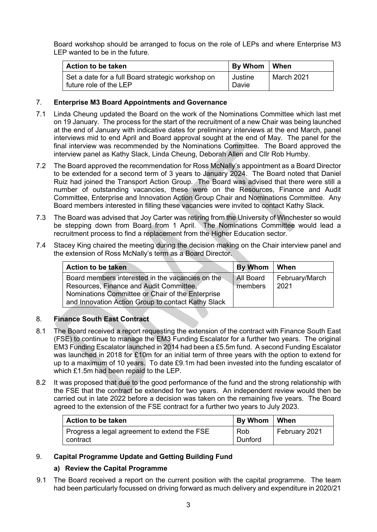Board workshop should be arranged to focus on the role of LEPs and where Enterprise M3 LEP wanted to be in the future.

| Action to be taken                                                          | By Whom   When   |            |
|-----------------------------------------------------------------------------|------------------|------------|
| Set a date for a full Board strategic workshop on<br>future role of the LEP | Justine<br>Davie | March 2021 |

## 7. **Enterprise M3 Board Appointments and Governance**

- 7.1 Linda Cheung updated the Board on the work of the Nominations Committee which last met on 19 January. The process for the start of the recruitment of a new Chair was being launched at the end of January with indicative dates for preliminary interviews at the end March, panel interviews mid to end April and Board approval sought at the end of May. The panel for the final interview was recommended by the Nominations Committee. The Board approved the interview panel as Kathy Slack, Linda Cheung, Deborah Allen and Cllr Rob Humby.
- 7.2 The Board approved the recommendation for Ross McNally's appointment as a Board Director to be extended for a second term of 3 years to January 2024. The Board noted that Daniel Ruiz had joined the Transport Action Group. The Board was advised that there were still a number of outstanding vacancies, these were on the Resources, Finance and Audit Committee, Enterprise and Innovation Action Group Chair and Nominations Committee. Any Board members interested in filling these vacancies were invited to contact Kathy Slack.
- 7.3 The Board was advised that Joy Carter was retiring from the University of Winchester so would be stepping down from Board from 1 April. The Nominations Committee would lead a recruitment process to find a replacement from the Higher Education sector.
- 7.4 Stacey King chaired the meeting during the decision making on the Chair interview panel and the extension of Ross McNally's term as a Board Director.

| <b>Action to be taken</b>                                                                                                                                                                             | By Whom              | When                   |
|-------------------------------------------------------------------------------------------------------------------------------------------------------------------------------------------------------|----------------------|------------------------|
| Board members interested in the vacancies on the<br>Resources, Finance and Audit Committee,<br>Nominations Committee or Chair of the Enterprise<br>and Innovation Action Group to contact Kathy Slack | All Board<br>members | February/March<br>2021 |

# 8. **Finance South East Contract**

- 8.1 The Board received a report requesting the extension of the contract with Finance South East (FSE) to continue to manage the EM3 Funding Escalator for a further two years. The original EM3 Funding Escalator launched in 2014 had been a £5.5m fund. A second Funding Escalator was launched in 2018 for £10m for an initial term of three years with the option to extend for up to a maximum of 10 years. To date £9.1m had been invested into the funding escalator of which £1.5m had been repaid to the LEP.
- 8.2 It was proposed that due to the good performance of the fund and the strong relationship with the FSE that the contract be extended for two years. An independent review would then be carried out in late 2022 before a decision was taken on the remaining five years. The Board agreed to the extension of the FSE contract for a further two years to July 2023.

| <b>Action to be taken</b>                                | By Whom   When |               |
|----------------------------------------------------------|----------------|---------------|
| Progress a legal agreement to extend the FSE<br>contract | Rob<br>Dunford | February 2021 |

# 9. **Capital Programme Update and Getting Building Fund**

## **a) Review the Capital Programme**

9.1 The Board received a report on the current position with the capital programme. The team had been particularly focussed on driving forward as much delivery and expenditure in 2020/21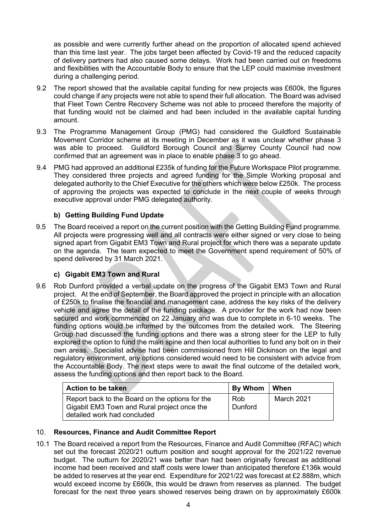as possible and were currently further ahead on the proportion of allocated spend achieved than this time last year. The jobs target been affected by Covid-19 and the reduced capacity of delivery partners had also caused some delays. Work had been carried out on freedoms and flexibilities with the Accountable Body to ensure that the LEP could maximise investment during a challenging period.

- 9.2 The report showed that the available capital funding for new projects was £600k, the figures could change if any projects were not able to spend their full allocation. The Board was advised that Fleet Town Centre Recovery Scheme was not able to proceed therefore the majority of that funding would not be claimed and had been included in the available capital funding amount.
- 9.3 The Programme Management Group (PMG) had considered the Guildford Sustainable Movement Corridor scheme at its meeting in December as it was unclear whether phase 3 was able to proceed. Guildford Borough Council and Surrey County Council had now confirmed that an agreement was in place to enable phase 3 to go ahead.
- 9.4 PMG had approved an additional £235k of funding for the Future Workspace Pilot programme. They considered three projects and agreed funding for the Simple Working proposal and delegated authority to the Chief Executive for the others which were below £250k. The process of approving the projects was expected to conclude in the next couple of weeks through executive approval under PMG delegated authority.

# **b) Getting Building Fund Update**

9.5 The Board received a report on the current position with the Getting Building Fund programme. All projects were progressing well and all contracts were either signed or very close to being signed apart from Gigabit EM3 Town and Rural project for which there was a separate update on the agenda. The team expected to meet the Government spend requirement of 50% of spend delivered by 31 March 2021.

## **c) Gigabit EM3 Town and Rural**

9.6 Rob Dunford provided a verbal update on the progress of the Gigabit EM3 Town and Rural project. At the end of September, the Board approved the project in principle with an allocation of £250k to finalise the financial and management case, address the key risks of the delivery vehicle and agree the detail of the funding package. A provider for the work had now been secured and work commenced on 22 January and was due to complete in 6-10 weeks. The funding options would be informed by the outcomes from the detailed work. The Steering Group had discussed the funding options and there was a strong steer for the LEP to fully explored the option to fund the main spine and then local authorities to fund any bolt on in their own areas. Specialist advise had been commissioned from Hill Dickinson on the legal and regulatory environment, any options considered would need to be consistent with advice from the Accountable Body. The next steps were to await the final outcome of the detailed work, assess the funding options and then report back to the Board.

| <b>Action to be taken</b>                                                                                                     | By Whom        | When       |
|-------------------------------------------------------------------------------------------------------------------------------|----------------|------------|
| Report back to the Board on the options for the<br>Gigabit EM3 Town and Rural project once the<br>detailed work had concluded | Rob<br>Dunford | March 2021 |

## 10. **Resources, Finance and Audit Committee Report**

10.1 The Board received a report from the Resources, Finance and Audit Committee (RFAC) which set out the forecast 2020/21 outturn position and sought approval for the 2021/22 revenue budget. The outturn for 2020/21 was better than had been originally forecast as additional income had been received and staff costs were lower than anticipated therefore £136k would be added to reserves at the year end. Expenditure for 2021/22 was forecast at £2.888m, which would exceed income by £660k, this would be drawn from reserves as planned. The budget forecast for the next three years showed reserves being drawn on by approximately £600k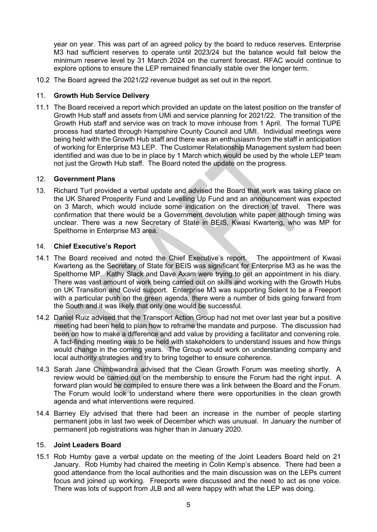year on year. This was part of an agreed policy by the board to reduce reserves. Enterprise M3 had sufficient reserves to operate until 2023/24 but the balance would fall below the minimum reserve level by 31 March 2024 on the current forecast. RFAC would continue to explore options to ensure the LEP remained financially stable over the longer term.

10.2 The Board agreed the 2021/22 revenue budget as set out in the report.

## 11. **Growth Hub Service Delivery**

11.1 The Board received a report which provided an update on the latest position on the transfer of Growth Hub staff and assets from UMi and service planning for 2021/22. The transition of the Growth Hub staff and service was on track to move inhouse from 1 April. The formal TUPE process had started through Hampshire County Council and UMI. Individual meetings were being held with the Growth Hub staff and there was an enthusiasm from the staff in anticipation of working for Enterprise M3 LEP. The Customer Relationship Management system had been identified and was due to be in place by 1 March which would be used by the whole LEP team not just the Growth Hub staff. The Board noted the update on the progress.

#### 12. **Government Plans**

13. Richard Turl provided a verbal update and advised the Board that work was taking place on the UK Shared Prosperity Fund and Levelling Up Fund and an announcement was expected on 3 March, which would include some indication on the direction of travel. There was confirmation that there would be a Government devolution white paper although timing was unclear. There was a new Secretary of State in BEIS, Kwasi Kwarteng, who was MP for Spelthorne in Enterprise M3 area.

#### 14. **Chief Executive's Report**

- 14.1 The Board received and noted the Chief Executive's report. The appointment of Kwasi Kwarteng as the Secretary of State for BEIS was significant for Enterprise M3 as he was the Spelthorne MP. Kathy Slack and Dave Axam were trying to get an appointment in his diary. There was vast amount of work being carried out on skills and working with the Growth Hubs on UK Transition and Covid support. Enterprise M3 was supporting Solent to be a Freeport with a particular push on the green agenda, there were a number of bids going forward from the South and it was likely that only one would be successful.
- 14.2 Daniel Ruiz advised that the Transport Action Group had not met over last year but a positive meeting had been held to plan how to reframe the mandate and purpose. The discussion had been on how to make a difference and add value by providing a facilitator and convening role. A fact-finding meeting was to be held with stakeholders to understand issues and how things would change in the coming years. The Group would work on understanding company and local authority strategies and try to bring together to ensure coherence.
- 14.3 Sarah Jane Chimbwandira advised that the Clean Growth Forum was meeting shortly. A review would be carried out on the membership to ensure the Forum had the right input. A forward plan would be compiled to ensure there was a link between the Board and the Forum. The Forum would look to understand where there were opportunities in the clean growth agenda and what interventions were required.
- 14.4 Barney Ely advised that there had been an increase in the number of people starting permanent jobs in last two week of December which was unusual. In January the number of permanent job registrations was higher than in January 2020.

#### 15. **Joint Leaders Board**

15.1 Rob Humby gave a verbal update on the meeting of the Joint Leaders Board held on 21 January. Rob Humby had chaired the meeting in Colin Kemp's absence. There had been a good attendance from the local authorities and the main discussion was on the LEPs current focus and joined up working. Freeports were discussed and the need to act as one voice. There was lots of support from JLB and all were happy with what the LEP was doing.